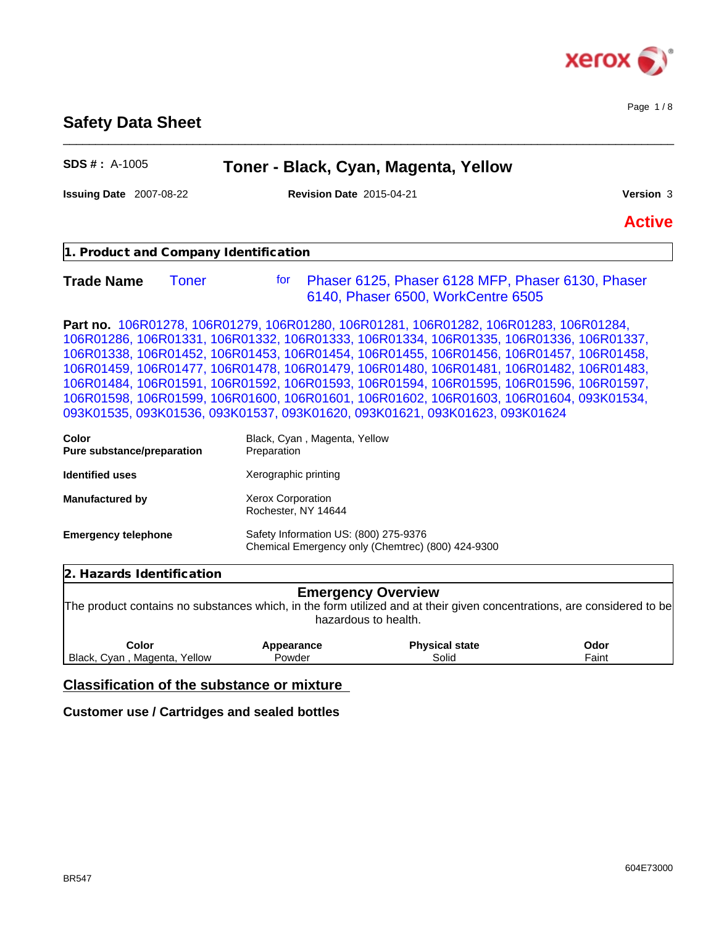

Page 1 / 8

# **Safety Data Sheet**

| SDS #: A-1005                         | Toner - Black, Cyan, Magenta, Yellow                                                                                                                                                                                                                                                                                                                                                                                                                                                                                                                                                                                                        |               |
|---------------------------------------|---------------------------------------------------------------------------------------------------------------------------------------------------------------------------------------------------------------------------------------------------------------------------------------------------------------------------------------------------------------------------------------------------------------------------------------------------------------------------------------------------------------------------------------------------------------------------------------------------------------------------------------------|---------------|
| Issuing Date 2007-08-22               | <b>Revision Date 2015-04-21</b>                                                                                                                                                                                                                                                                                                                                                                                                                                                                                                                                                                                                             | Version 3     |
|                                       |                                                                                                                                                                                                                                                                                                                                                                                                                                                                                                                                                                                                                                             | <b>Active</b> |
| 1. Product and Company Identification |                                                                                                                                                                                                                                                                                                                                                                                                                                                                                                                                                                                                                                             |               |
| <b>Trade Name</b><br><b>Toner</b>     | Phaser 6125, Phaser 6128 MFP, Phaser 6130, Phaser<br>for<br>6140, Phaser 6500, WorkCentre 6505                                                                                                                                                                                                                                                                                                                                                                                                                                                                                                                                              |               |
|                                       | Part no. 106R01278, 106R01279, 106R01280, 106R01281, 106R01282, 106R01283, 106R01284,<br>106R01286, 106R01331, 106R01332, 106R01333, 106R01334, 106R01335, 106R01336, 106R01337,<br>106R01338, 106R01452, 106R01453, 106R01454, 106R01455, 106R01456, 106R01457, 106R01458,<br>106R01459, 106R01477, 106R01478, 106R01479, 106R01480, 106R01481, 106R01482, 106R01483,<br>106R01484, 106R01591, 106R01592, 106R01593, 106R01594, 106R01595, 106R01596, 106R01597,<br>106R01598, 106R01599, 106R01600, 106R01601, 106R01602, 106R01603, 106R01604, 093K01534,<br>093K01535, 093K01536, 093K01537, 093K01620, 093K01621, 093K01623, 093K01624 |               |
| Color<br>Pure substance/preparation   | Black, Cyan, Magenta, Yellow<br>Preparation                                                                                                                                                                                                                                                                                                                                                                                                                                                                                                                                                                                                 |               |
| <b>Identified uses</b>                | Xerographic printing                                                                                                                                                                                                                                                                                                                                                                                                                                                                                                                                                                                                                        |               |
| Manufactured by                       | Xerox Corporation<br>Rochester, NY 14644                                                                                                                                                                                                                                                                                                                                                                                                                                                                                                                                                                                                    |               |
| <b>Emergency telephone</b>            | Safety Information US: (800) 275-9376<br>Chemical Emergency only (Chemtrec) (800) 424-9300                                                                                                                                                                                                                                                                                                                                                                                                                                                                                                                                                  |               |
| 2. Hazards Identification             |                                                                                                                                                                                                                                                                                                                                                                                                                                                                                                                                                                                                                                             |               |
|                                       | <b>Emergency Overview</b><br>The product contains no substances which, in the form utilized and at their given concentrations, are considered to be                                                                                                                                                                                                                                                                                                                                                                                                                                                                                         |               |

e form diffized and at their g<br>hazardous to health.

| Color                                | Appearance | <b>Physical state</b> | Odor                          |  |
|--------------------------------------|------------|-----------------------|-------------------------------|--|
| Black,<br>Yellow<br>Cvan<br>Madenta. | Powder     | Solid                 | $\overline{\phantom{a}}$ aint |  |

# **Classification of the substance or mixture**

## **Customer use / Cartridges and sealed bottles**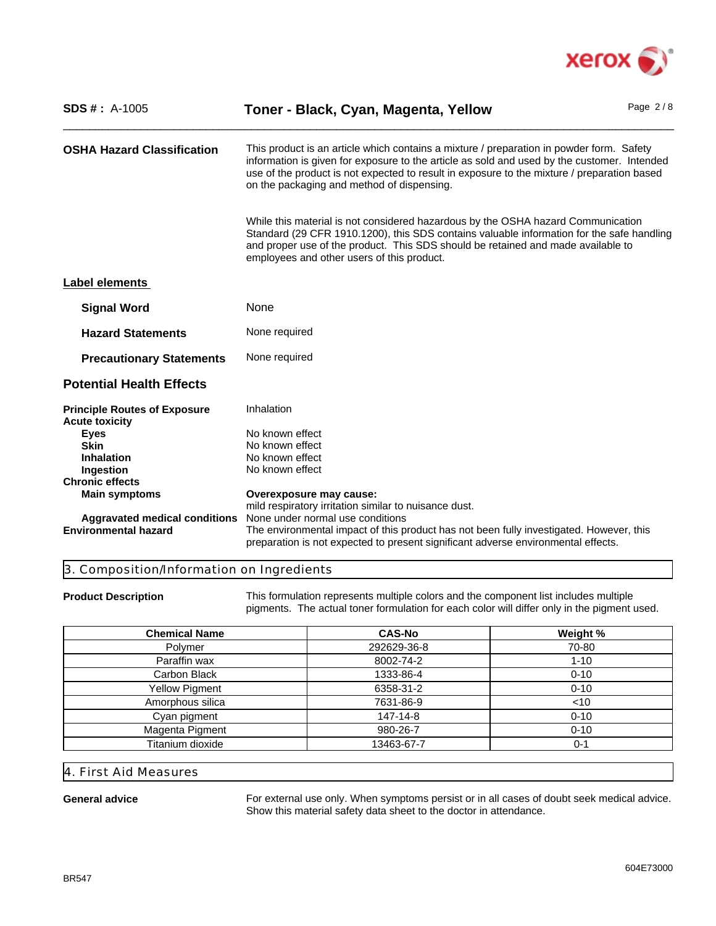

| <b>SDS #</b> : $A-1005$                                             | Toner - Black, Cyan, Magenta, Yellow                                                                                                                                                                                                                                                                                                 | Page $2/8$ |
|---------------------------------------------------------------------|--------------------------------------------------------------------------------------------------------------------------------------------------------------------------------------------------------------------------------------------------------------------------------------------------------------------------------------|------------|
| <b>OSHA Hazard Classification</b>                                   | This product is an article which contains a mixture / preparation in powder form. Safety<br>information is given for exposure to the article as sold and used by the customer. Intended<br>use of the product is not expected to result in exposure to the mixture / preparation based<br>on the packaging and method of dispensing. |            |
|                                                                     | While this material is not considered hazardous by the OSHA hazard Communication<br>Standard (29 CFR 1910.1200), this SDS contains valuable information for the safe handling<br>and proper use of the product. This SDS should be retained and made available to<br>employees and other users of this product.                      |            |
| Label elements                                                      |                                                                                                                                                                                                                                                                                                                                      |            |
| <b>Signal Word</b>                                                  | None                                                                                                                                                                                                                                                                                                                                 |            |
| <b>Hazard Statements</b>                                            | None required                                                                                                                                                                                                                                                                                                                        |            |
| <b>Precautionary Statements</b>                                     | None required                                                                                                                                                                                                                                                                                                                        |            |
| <b>Potential Health Effects</b>                                     |                                                                                                                                                                                                                                                                                                                                      |            |
| <b>Principle Routes of Exposure</b><br><b>Acute toxicity</b>        | Inhalation                                                                                                                                                                                                                                                                                                                           |            |
| Eyes                                                                | No known effect                                                                                                                                                                                                                                                                                                                      |            |
| <b>Skin</b>                                                         | No known effect                                                                                                                                                                                                                                                                                                                      |            |
| <b>Inhalation</b>                                                   | No known effect                                                                                                                                                                                                                                                                                                                      |            |
| Ingestion                                                           | No known effect                                                                                                                                                                                                                                                                                                                      |            |
| <b>Chronic effects</b>                                              |                                                                                                                                                                                                                                                                                                                                      |            |
| <b>Main symptoms</b>                                                | Overexposure may cause:                                                                                                                                                                                                                                                                                                              |            |
|                                                                     | mild respiratory irritation similar to nuisance dust.<br>None under normal use conditions                                                                                                                                                                                                                                            |            |
| <b>Aggravated medical conditions</b><br><b>Environmental hazard</b> | The environmental impact of this product has not been fully investigated. However, this                                                                                                                                                                                                                                              |            |
|                                                                     | preparation is not expected to present significant adverse environmental effects.                                                                                                                                                                                                                                                    |            |

## 3. Composition/Information on Ingredients

**Product Description** This formulation represents multiple colors and the component list includes multiple pigments. The actual toner formulation for each color will differ only in the pigment used.

| <b>Chemical Name</b>  | <b>CAS-No</b> | Weight % |
|-----------------------|---------------|----------|
| Polymer               | 292629-36-8   | 70-80    |
| Paraffin wax          | 8002-74-2     | $1 - 10$ |
| Carbon Black          | 1333-86-4     | $0 - 10$ |
| <b>Yellow Pigment</b> | 6358-31-2     | $0 - 10$ |
| Amorphous silica      | 7631-86-9     | $<$ 10   |
| Cyan pigment          | 147-14-8      | $0 - 10$ |
| Magenta Pigment       | 980-26-7      | $0 - 10$ |
| Titanium dioxide      | 13463-67-7    | 0-1      |

## 4. First Aid Measures

General advice **For external use only.** When symptoms persist or in all cases of doubt seek medical advice. Show this material safety data sheet to the doctor in attendance.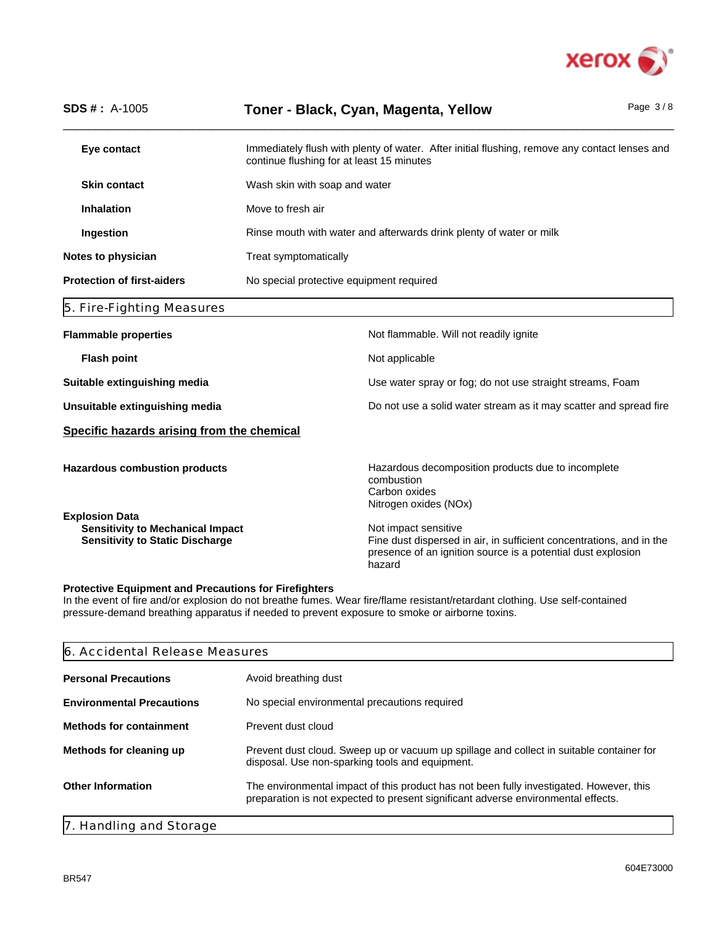

| <b>SDS #: A-1005</b>                                                                                       |                                          | Toner - Black, Cyan, Magenta, Yellow                                                                                                                                   | Page $3/8$ |
|------------------------------------------------------------------------------------------------------------|------------------------------------------|------------------------------------------------------------------------------------------------------------------------------------------------------------------------|------------|
| Eye contact                                                                                                |                                          | Immediately flush with plenty of water. After initial flushing, remove any contact lenses and<br>continue flushing for at least 15 minutes                             |            |
| <b>Skin contact</b>                                                                                        | Wash skin with soap and water            |                                                                                                                                                                        |            |
| <b>Inhalation</b>                                                                                          | Move to fresh air                        |                                                                                                                                                                        |            |
| Ingestion                                                                                                  |                                          | Rinse mouth with water and afterwards drink plenty of water or milk                                                                                                    |            |
| Notes to physician                                                                                         | Treat symptomatically                    |                                                                                                                                                                        |            |
| <b>Protection of first-aiders</b>                                                                          | No special protective equipment required |                                                                                                                                                                        |            |
| 5. Fire-Fighting Measures                                                                                  |                                          |                                                                                                                                                                        |            |
| <b>Flammable properties</b>                                                                                |                                          | Not flammable. Will not readily ignite                                                                                                                                 |            |
| <b>Flash point</b>                                                                                         |                                          | Not applicable                                                                                                                                                         |            |
| Suitable extinguishing media                                                                               |                                          | Use water spray or fog; do not use straight streams, Foam                                                                                                              |            |
| Unsuitable extinguishing media                                                                             |                                          | Do not use a solid water stream as it may scatter and spread fire                                                                                                      |            |
| Specific hazards arising from the chemical                                                                 |                                          |                                                                                                                                                                        |            |
| <b>Hazardous combustion products</b>                                                                       |                                          | Hazardous decomposition products due to incomplete<br>combustion<br>Carbon oxides<br>Nitrogen oxides (NOx)                                                             |            |
| <b>Explosion Data</b><br><b>Sensitivity to Mechanical Impact</b><br><b>Sensitivity to Static Discharge</b> |                                          | Not impact sensitive<br>Fine dust dispersed in air, in sufficient concentrations, and in the<br>presence of an ignition source is a potential dust explosion<br>hazard |            |

## **Protective Equipment and Precautions for Firefighters**

In the event of fire and/or explosion do not breathe fumes. Wear fire/flame resistant/retardant clothing. Use self-contained pressure-demand breathing apparatus if needed to prevent exposure to smoke or airborne toxins.

| 6. Accidental Release Measures   |                                                                                                                                                                              |  |
|----------------------------------|------------------------------------------------------------------------------------------------------------------------------------------------------------------------------|--|
| <b>Personal Precautions</b>      | Avoid breathing dust                                                                                                                                                         |  |
| <b>Environmental Precautions</b> | No special environmental precautions required                                                                                                                                |  |
| <b>Methods for containment</b>   | Prevent dust cloud                                                                                                                                                           |  |
| Methods for cleaning up          | Prevent dust cloud. Sweep up or vacuum up spillage and collect in suitable container for<br>disposal. Use non-sparking tools and equipment.                                  |  |
| <b>Other Information</b>         | The environmental impact of this product has not been fully investigated. However, this<br>preparation is not expected to present significant adverse environmental effects. |  |
| 7. Handling and Storage          |                                                                                                                                                                              |  |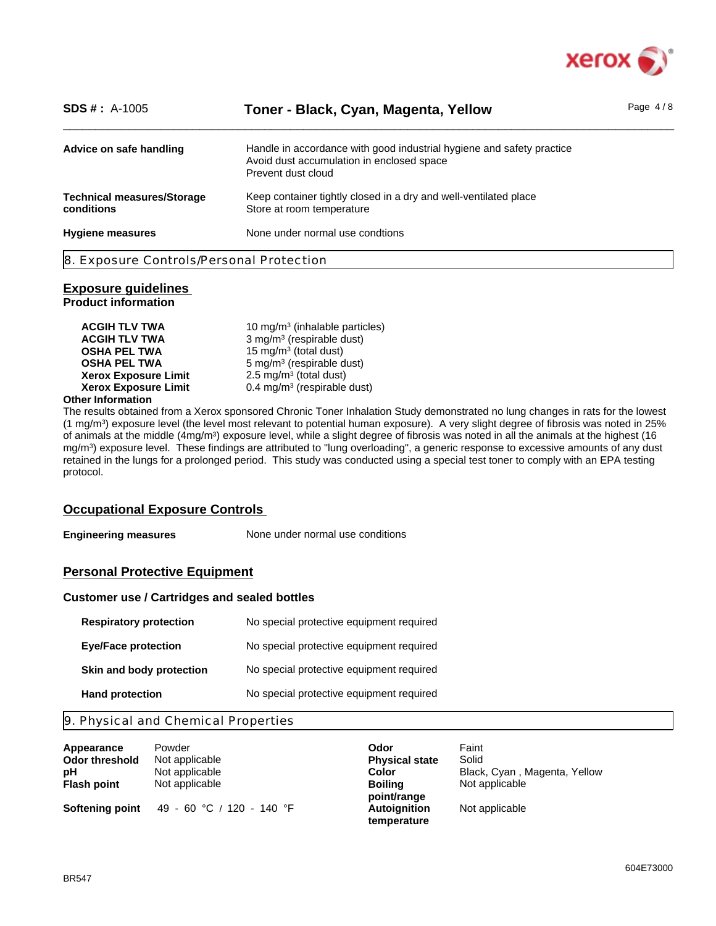

| $SDS #: A-1005$                                 | Toner - Black, Cyan, Magenta, Yellow                                                                                                     | Page $4/8$ |
|-------------------------------------------------|------------------------------------------------------------------------------------------------------------------------------------------|------------|
| Advice on safe handling                         | Handle in accordance with good industrial hygiene and safety practice<br>Avoid dust accumulation in enclosed space<br>Prevent dust cloud |            |
| <b>Technical measures/Storage</b><br>conditions | Keep container tightly closed in a dry and well-ventilated place<br>Store at room temperature                                            |            |
| <b>Hygiene measures</b>                         | None under normal use condtions                                                                                                          |            |
| 8. Exposure Controls/Personal Protection        |                                                                                                                                          |            |

## **Exposure guidelines**

**Product information**

| <b>ACGIH TLV TWA</b>        | 10 mg/m <sup>3</sup> (inhalable particles) |
|-----------------------------|--------------------------------------------|
| <b>ACGIH TLV TWA</b>        | 3 mg/m <sup>3</sup> (respirable dust)      |
| <b>OSHA PEL TWA</b>         | 15 mg/m <sup>3</sup> (total dust)          |
| <b>OSHA PEL TWA</b>         | 5 mg/m <sup>3</sup> (respirable dust)      |
| <b>Xerox Exposure Limit</b> | 2.5 mg/m <sup>3</sup> (total dust)         |
| <b>Xerox Exposure Limit</b> | 0.4 mg/m <sup>3</sup> (respirable dust)    |
| .                           |                                            |

## **Other Information**

The results obtained from a Xerox sponsored Chronic Toner Inhalation Study demonstrated no lung changes in rats for the lowest (1 mg/m<sup>3</sup> ) exposure level (the level most relevant to potential human exposure). A very slight degree of fibrosis was noted in 25% of animals at the middle (4mg/m<sup>3</sup>) exposure level, while a slight degree of fibrosis was noted in all the animals at the highest (16 mg/m<sup>3</sup> ) exposure level. These findings are attributed to "lung overloading", a generic response to excessive amounts of any dust retained in the lungs for a prolonged period. This study was conducted using a special test toner to comply with an EPA testing protocol.

## **Occupational Exposure Controls**

**Engineering measures** None under normal use conditions

## **Personal Protective Equipment**

## **Customer use / Cartridges and sealed bottles**

| <b>Respiratory protection</b> | No special protective equipment required |
|-------------------------------|------------------------------------------|
| <b>Eye/Face protection</b>    | No special protective equipment required |
| Skin and body protection      | No special protective equipment required |
| <b>Hand protection</b>        | No special protective equipment required |

## 9. Physical and Chemical Properties

| Appearance         | Powder                    | Odor                  | Faint                        |
|--------------------|---------------------------|-----------------------|------------------------------|
| Odor threshold     | Not applicable            | <b>Physical state</b> | Solid                        |
| рH                 | Not applicable            | Color                 | Black, Cyan, Magenta, Yellow |
| <b>Flash point</b> | Not applicable            | <b>Boiling</b>        | Not applicable               |
|                    |                           | point/range           |                              |
| Softening point    | 49 - 60 °C / 120 - 140 °F | <b>Autoignition</b>   | Not applicable               |
|                    |                           | temperature           |                              |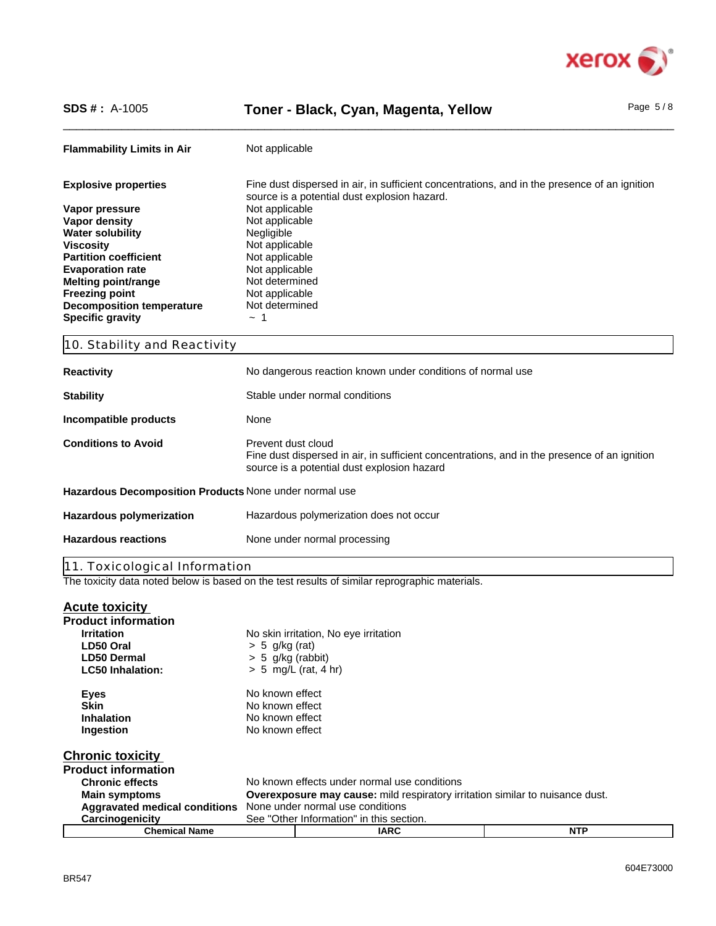

# SDS #: A-1005 **Toner - Black, Cyan, Magenta, Yellow** Page 5/8

| <b>Flammability Limits in Air</b>                      | Not applicable                                                                                                                                                    |  |
|--------------------------------------------------------|-------------------------------------------------------------------------------------------------------------------------------------------------------------------|--|
| <b>Explosive properties</b>                            | Fine dust dispersed in air, in sufficient concentrations, and in the presence of an ignition                                                                      |  |
|                                                        | source is a potential dust explosion hazard.                                                                                                                      |  |
| Vapor pressure                                         | Not applicable<br>Not applicable                                                                                                                                  |  |
| Vapor density<br><b>Water solubility</b>               | Negligible                                                                                                                                                        |  |
| <b>Viscosity</b>                                       | Not applicable                                                                                                                                                    |  |
| <b>Partition coefficient</b>                           | Not applicable                                                                                                                                                    |  |
| <b>Evaporation rate</b>                                | Not applicable                                                                                                                                                    |  |
| <b>Melting point/range</b>                             | Not determined                                                                                                                                                    |  |
| <b>Freezing point</b>                                  | Not applicable                                                                                                                                                    |  |
| <b>Decomposition temperature</b>                       | Not determined                                                                                                                                                    |  |
| <b>Specific gravity</b>                                | $\sim$ 1                                                                                                                                                          |  |
| 10. Stability and Reactivity                           |                                                                                                                                                                   |  |
| <b>Reactivity</b>                                      | No dangerous reaction known under conditions of normal use                                                                                                        |  |
| <b>Stability</b>                                       | Stable under normal conditions                                                                                                                                    |  |
| Incompatible products                                  | None                                                                                                                                                              |  |
| <b>Conditions to Avoid</b>                             | Prevent dust cloud<br>Fine dust dispersed in air, in sufficient concentrations, and in the presence of an ignition<br>source is a potential dust explosion hazard |  |
| Hazardous Decomposition Products None under normal use |                                                                                                                                                                   |  |
| Hazardous polymerization                               | Hazardous polymerization does not occur                                                                                                                           |  |
| <b>Hazardous reactions</b>                             | None under normal processing                                                                                                                                      |  |

The toxicity data noted below is based on the test results of similar reprographic materials.

| <b>Acute toxicity</b>                |                                                                                      |                                              |            |  |  |
|--------------------------------------|--------------------------------------------------------------------------------------|----------------------------------------------|------------|--|--|
| <b>Product information</b>           |                                                                                      |                                              |            |  |  |
| <b>Irritation</b>                    |                                                                                      | No skin irritation, No eye irritation        |            |  |  |
| LD50 Oral                            | $> 5$ g/kg (rat)                                                                     |                                              |            |  |  |
| <b>LD50 Dermal</b>                   | $> 5$ g/kg (rabbit)                                                                  |                                              |            |  |  |
| <b>LC50 Inhalation:</b>              |                                                                                      | $> 5$ mg/L (rat, 4 hr)                       |            |  |  |
| Eyes                                 | No known effect                                                                      |                                              |            |  |  |
| <b>Skin</b>                          | No known effect                                                                      |                                              |            |  |  |
| <b>Inhalation</b>                    |                                                                                      | No known effect                              |            |  |  |
| Ingestion                            |                                                                                      | No known effect                              |            |  |  |
| <b>Chronic toxicity</b>              |                                                                                      |                                              |            |  |  |
| <b>Product information</b>           |                                                                                      |                                              |            |  |  |
| <b>Chronic effects</b>               |                                                                                      | No known effects under normal use conditions |            |  |  |
| <b>Main symptoms</b>                 | <b>Overexposure may cause:</b> mild respiratory irritation similar to nuisance dust. |                                              |            |  |  |
| <b>Aggravated medical conditions</b> | None under normal use conditions                                                     |                                              |            |  |  |
| Carcinogenicity                      | See "Other Information" in this section.                                             |                                              |            |  |  |
| <b>Chemical Name</b>                 |                                                                                      | <b>IARC</b>                                  | <b>NTP</b> |  |  |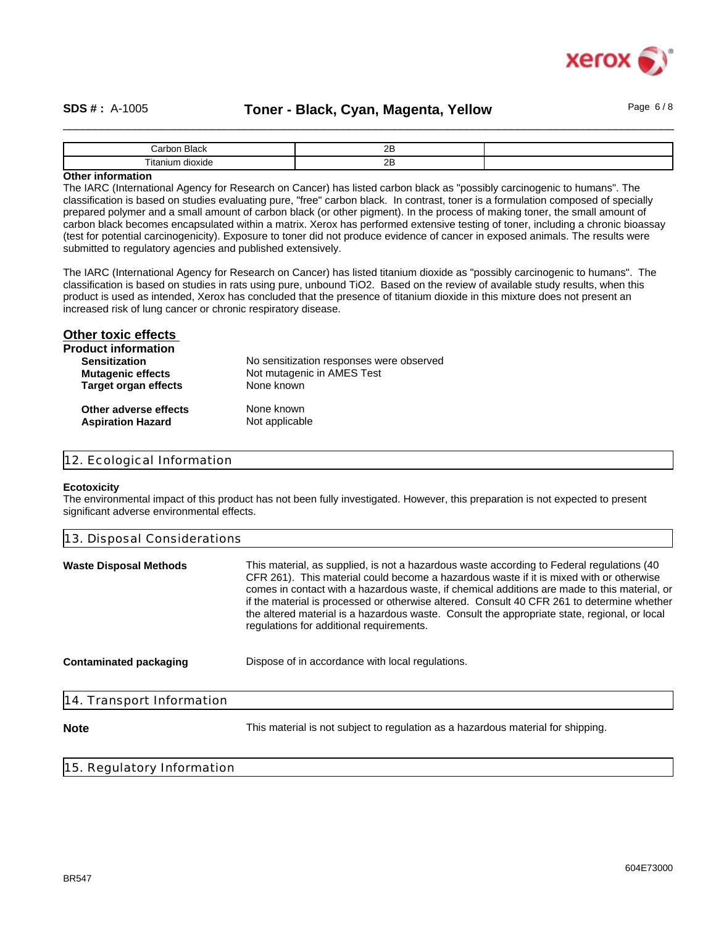

## SDS #: A-1005 **Toner - Black, Cyan, Magenta, Yellow** Page 6/8

| `orb,<br>. . г                                      | n r<br>-- |  |
|-----------------------------------------------------|-----------|--|
| $- \cdot$ .<br><b>Fitar</b><br><br>dioxide<br>aurr. | n r<br>-- |  |

## **Other information**

The IARC (International Agency for Research on Cancer) has listed carbon black as "possibly carcinogenic to humans". The classification is based on studies evaluating pure, "free" carbon black. In contrast, toner is a formulation composed of specially prepared polymer and a small amount of carbon black (or other pigment). In the process of making toner, the small amount of carbon black becomes encapsulated within a matrix. Xerox has performed extensive testing of toner, including a chronic bioassay (test for potential carcinogenicity). Exposure to toner did not produce evidence of cancer in exposed animals. The results were submitted to regulatory agencies and published extensively.

The IARC (International Agency for Research on Cancer) has listed titanium dioxide as "possibly carcinogenic to humans". The classification is based on studies in rats using pure, unbound TiO2. Based on the review of available study results, when this product is used as intended, Xerox has concluded that the presence of titanium dioxide in this mixture does not present an increased risk of lung cancer or chronic respiratory disease.

| <b>Other toxic effects</b>  |                                          |
|-----------------------------|------------------------------------------|
| <b>Product information</b>  |                                          |
| <b>Sensitization</b>        | No sensitization responses were observed |
| <b>Mutagenic effects</b>    | Not mutagenic in AMES Test               |
| <b>Target organ effects</b> | None known                               |
| Other adverse effects       | None known                               |
| <b>Aspiration Hazard</b>    | Not applicable                           |

## 12. Ecological Information

#### **Ecotoxicity**

The environmental impact of this product has not been fully investigated. However, this preparation is not expected to present significant adverse environmental effects.

| 13. Disposal Considerations   |                                                                                                                                                                                                                                                                                                                                                                                                                                                                                                                                 |  |
|-------------------------------|---------------------------------------------------------------------------------------------------------------------------------------------------------------------------------------------------------------------------------------------------------------------------------------------------------------------------------------------------------------------------------------------------------------------------------------------------------------------------------------------------------------------------------|--|
| <b>Waste Disposal Methods</b> | This material, as supplied, is not a hazardous waste according to Federal regulations (40)<br>CFR 261). This material could become a hazardous waste if it is mixed with or otherwise<br>comes in contact with a hazardous waste, if chemical additions are made to this material, or<br>if the material is processed or otherwise altered. Consult 40 CFR 261 to determine whether<br>the altered material is a hazardous waste. Consult the appropriate state, regional, or local<br>regulations for additional requirements. |  |
| Contaminated packaging        | Dispose of in accordance with local regulations.                                                                                                                                                                                                                                                                                                                                                                                                                                                                                |  |
| 14. Transport Information     |                                                                                                                                                                                                                                                                                                                                                                                                                                                                                                                                 |  |
| <b>Note</b>                   | This material is not subject to regulation as a hazardous material for shipping.                                                                                                                                                                                                                                                                                                                                                                                                                                                |  |

## 15. Regulatory Information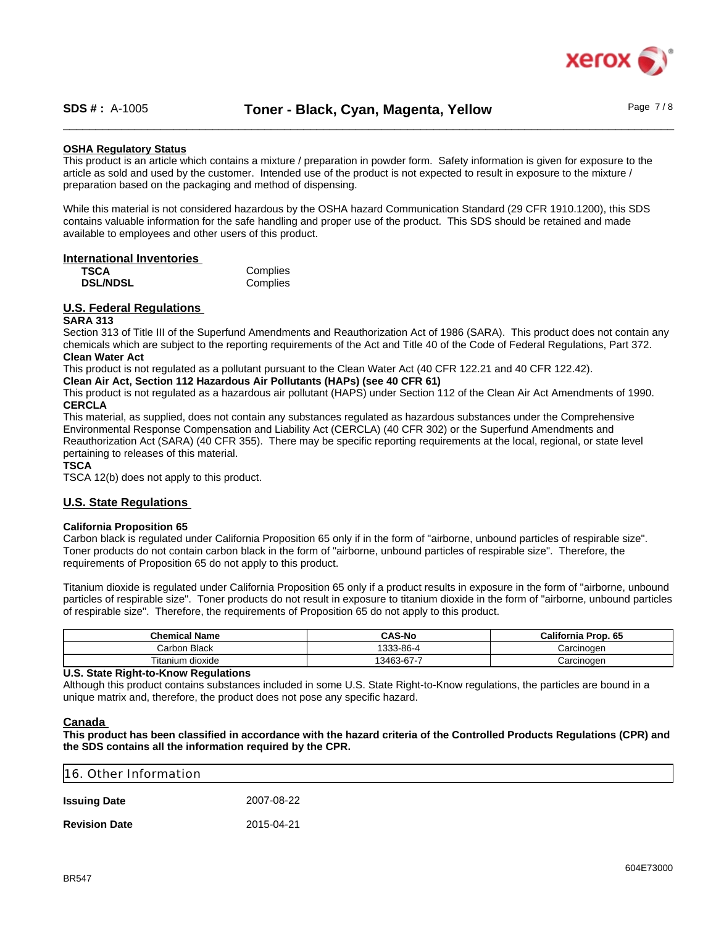

## **OSHA Regulatory Status**

This product is an article which contains a mixture / preparation in powder form. Safety information is given for exposure to the article as sold and used by the customer. Intended use of the product is not expected to result in exposure to the mixture / preparation based on the packaging and method of dispensing.

While this material is not considered hazardous by the OSHA hazard Communication Standard (29 CFR 1910.1200), this SDS contains valuable information for the safe handling and proper use of the product. This SDS should be retained and made available to employees and other users of this product.

### **International Inventories**

| <b>TSCA</b>     | Complies |
|-----------------|----------|
| <b>DSL/NDSL</b> | Complies |

## **U.S. Federal Regulations**

## **SARA 313**

Section 313 of Title III of the Superfund Amendments and Reauthorization Act of 1986 (SARA). This product does not contain any chemicals which are subject to the reporting requirements of the Act and Title 40 of the Code of Federal Regulations, Part 372. **Clean Water Act**

This product is not regulated as a pollutant pursuant to the Clean Water Act (40 CFR 122.21 and 40 CFR 122.42).

**Clean Air Act, Section 112 Hazardous Air Pollutants (HAPs) (see 40 CFR 61)**

This product is not regulated as a hazardous air pollutant (HAPS) under Section 112 of the Clean Air Act Amendments of 1990. **CERCLA**

This material, as supplied, does not contain any substances regulated as hazardous substances under the Comprehensive Environmental Response Compensation and Liability Act (CERCLA) (40 CFR 302) or the Superfund Amendments and Reauthorization Act (SARA) (40 CFR 355). There may be specific reporting requirements at the local, regional, or state level pertaining to releases of this material.

### **TSCA**

TSCA 12(b) does not apply to this product.

### **U.S. State Regulations**

### **California Proposition 65**

Carbon black is regulated under California Proposition 65 only if in the form of "airborne, unbound particles of respirable size". Toner products do not contain carbon black in the form of "airborne, unbound particles of respirable size". Therefore, the requirements of Proposition 65 do not apply to this product.

Titanium dioxide is regulated under California Proposition 65 only if a product results in exposure in the form of "airborne, unbound particles of respirable size". Toner products do not result in exposure to titanium dioxide in the form of "airborne, unbound particles of respirable size". Therefore, the requirements of Proposition 65 do not apply to this product.

| <b>Chemical Name</b> | <b>CAS-No</b>  | <b>California Prop. 65</b> |
|----------------------|----------------|----------------------------|
| ⊦ Black<br>Carbon    | 3-86-4<br>イウウウ | Carcinogen                 |
| Titanium dioxide     | 13463-67-7     | Carcinogen                 |

## **U.S. State Right-to-Know Regulations**

Although this product contains substances included in some U.S. State Right-to-Know regulations, the particles are bound in a unique matrix and, therefore, the product does not pose any specific hazard.

## **Canada**

**This product has been classified in accordance with the hazard criteria of the Controlled Products Regulations (CPR) and the SDS contains all the information required by the CPR.**

| 16. Other Information |            |  |
|-----------------------|------------|--|
| <b>Issuing Date</b>   | 2007-08-22 |  |
| <b>Revision Date</b>  | 2015-04-21 |  |